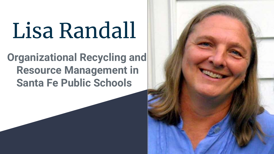# Lisa Randall

# **Organizational Recycling and Resource Management in Santa Fe Public Schools**

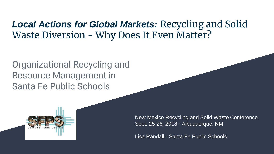#### *Local Actions for Global Markets:* Recycling and Solid Waste Diversion - Why Does It Even Matter?

Organizational Recycling and Resource Management in Santa Fe Public Schools



New Mexico Recycling and Solid Waste Conference Sept. 25-26, 2018 - Albuquerque, NM

Lisa Randall - Santa Fe Public Schools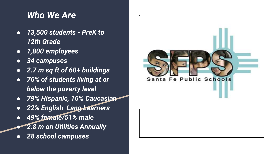#### *Who We Are*

- *13,500 students - PreK to 12th Grade*
- *1,800 employees*
- *34 campuses*
- *2.7 m sq ft of 60+ buildings*
- *76% of students living at or below the poverty level*
- *79% Hispanic, 16% Caucasian*
- *22% English Lang Learners*
- *49% female/51% male* ● *2.8 m on Utilities Annually*
- *28 school campuses*

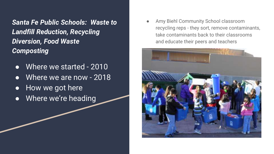*Santa Fe Public Schools: Waste to Landfill Reduction, Recycling Diversion, Food Waste Composting*

- Where we started 2010
- Where we are now 2018
- How we got here
- Where we're heading

Amy Biehl Community School classroom recycling reps - they sort, remove contaminants, take contaminants back to their classrooms and educate their peers and teachers

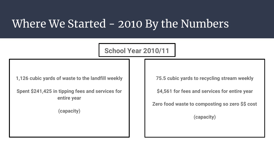## Where We Started - 2010 By the Numbers

**School Year 2010/11**

**1,126 cubic yards of waste to the landfill weekly**

**Spent \$241,425 in tipping fees and services for entire year**

**(capacity)**

**75.5 cubic yards to recycling stream weekly**

**\$4,561 for fees and services for entire year**

**Zero food waste to composting so zero \$\$ cost**

**(capacity)**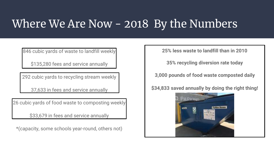# Where We Are Now - 2018 By the Numbers

846 cubic yards of waste to landfill weekly

\$135,280 fees and service annually

292 cubic yards to recycling stream weekly

37,633 in fees and service annually

26 cubic yards of food waste to composting weekly

\$33,679 in fees and service annually

\*(capacity, some schools year-round, others not)

**25% less waste to landfill than in 2010**

**35% recycling diversion rate today**

**3,000 pounds of food waste composted daily**

**\$34,833 saved annually by doing the right thing!**

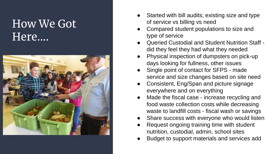## How We Got Here....



- Started with bill audits; existing size and type of service vs billing vs need
- Compared student populations to size and type of service
- Queried Custodial and Student Nutrition Staff did they feel they had what they needed
- Physical inspection of dumpsters on pick-up days looking for fullness, other issues
- Single point of contact for SFPS made service and size changes based on site need
- Consistent, Eng/Span and picture signage everywhere and on everything
- Made the fiscal case increase recycling and food waste collection costs while decreasing waste to landfill costs - fiscal wash or savings
- Share success with everyone who would listen
- Request ongoing training time with student nutrition, custodial, admin, school sites
- Budget to support materials and services add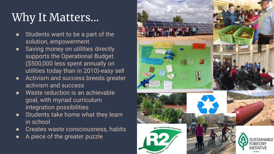# Why It Matters...

- Students want to be a part of the solution, empowerment
- Saving money on utilities directly supports the Operational Budget (\$500,000 less spent annually on utilities today than in 2010)-easy sell
- Activism and success breeds greater activism and success
- Waste reduction is an achievable goal, with myriad curriculum integration possibilities
- Students take home what they learn in school
- Creates waste consciousness, habits
- A piece of the greater puzzle

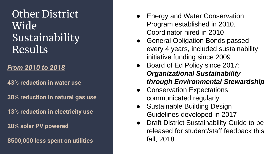## Other District Wide Sustainability Results

#### *From 2010 to 2018*

**43% reduction in water use**

**38% reduction in natural gas use**

**13% reduction in electricity use**

**20% solar PV powered**

**\$500,000 less spent on utilities** 

- Energy and Water Conservation Program established in 2010, Coordinator hired in 2010
- General Obligation Bonds passed every 4 years, included sustainability initiative funding since 2009
- Board of Ed Policy since 2017: *Organizational Sustainability through Environmental Stewardship*
- Conservation Expectations communicated regularly
- **Sustainable Building Design** Guidelines developed in 2017
- Draft District Sustainability Guide to be released for student/staff feedback this fall, 2018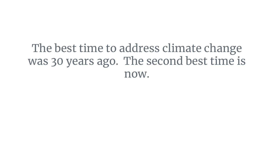# The best time to address climate change was 30 years ago. The second best time is now.